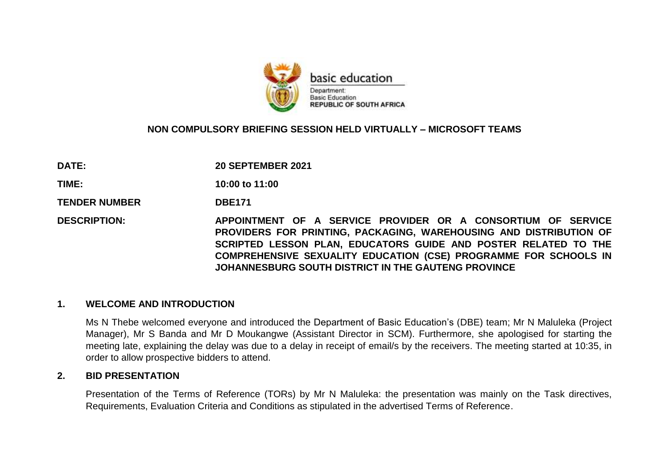

#### **NON COMPULSORY BRIEFING SESSION HELD VIRTUALLY – MICROSOFT TEAMS**

**DATE: 20 SEPTEMBER 2021**

**TIME: 10:00 to 11:00**

**TENDER NUMBER DBE171** 

**DESCRIPTION: APPOINTMENT OF A SERVICE PROVIDER OR A CONSORTIUM OF SERVICE PROVIDERS FOR PRINTING, PACKAGING, WAREHOUSING AND DISTRIBUTION OF SCRIPTED LESSON PLAN, EDUCATORS GUIDE AND POSTER RELATED TO THE COMPREHENSIVE SEXUALITY EDUCATION (CSE) PROGRAMME FOR SCHOOLS IN JOHANNESBURG SOUTH DISTRICT IN THE GAUTENG PROVINCE**

#### **1. WELCOME AND INTRODUCTION**

Ms N Thebe welcomed everyone and introduced the Department of Basic Education's (DBE) team; Mr N Maluleka (Project Manager), Mr S Banda and Mr D Moukangwe (Assistant Director in SCM). Furthermore, she apologised for starting the meeting late, explaining the delay was due to a delay in receipt of email/s by the receivers. The meeting started at 10:35, in order to allow prospective bidders to attend.

#### **2. BID PRESENTATION**

Presentation of the Terms of Reference (TORs) by Mr N Maluleka: the presentation was mainly on the Task directives, Requirements, Evaluation Criteria and Conditions as stipulated in the advertised Terms of Reference.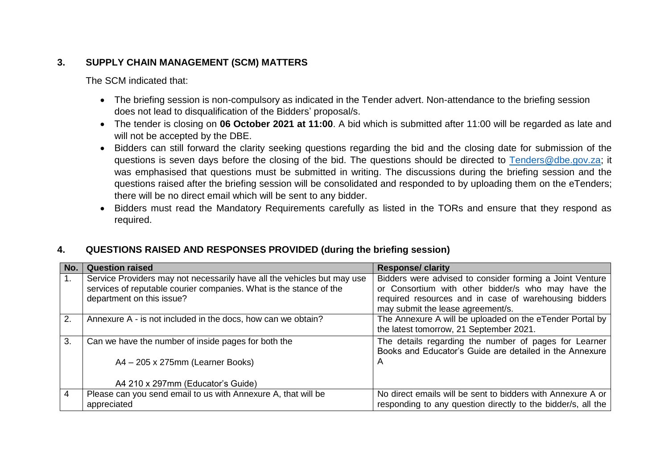# **3. SUPPLY CHAIN MANAGEMENT (SCM) MATTERS**

The SCM indicated that:

- The briefing session is non-compulsory as indicated in the Tender advert. Non-attendance to the briefing session does not lead to disqualification of the Bidders' proposal/s.
- The tender is closing on **06 October 2021 at 11:00**. A bid which is submitted after 11:00 will be regarded as late and will not be accepted by the DBE.
- Bidders can still forward the clarity seeking questions regarding the bid and the closing date for submission of the questions is seven days before the closing of the bid. The questions should be directed to [Tenders@dbe.gov.za;](mailto:Tenders@dbe.gov.za) it was emphasised that questions must be submitted in writing. The discussions during the briefing session and the questions raised after the briefing session will be consolidated and responded to by uploading them on the eTenders; there will be no direct email which will be sent to any bidder.
- Bidders must read the Mandatory Requirements carefully as listed in the TORs and ensure that they respond as required.

# **4. QUESTIONS RAISED AND RESPONSES PROVIDED (during the briefing session)**

| No. | <b>Question raised</b>                                                                                                                                                     | <b>Response/ clarity</b>                                                                                                                                                                                     |
|-----|----------------------------------------------------------------------------------------------------------------------------------------------------------------------------|--------------------------------------------------------------------------------------------------------------------------------------------------------------------------------------------------------------|
|     | Service Providers may not necessarily have all the vehicles but may use<br>services of reputable courier companies. What is the stance of the<br>department on this issue? | Bidders were advised to consider forming a Joint Venture<br>or Consortium with other bidder/s who may have the<br>required resources and in case of warehousing bidders<br>may submit the lease agreement/s. |
| 2.  | Annexure A - is not included in the docs, how can we obtain?                                                                                                               | The Annexure A will be uploaded on the eTender Portal by<br>the latest tomorrow, 21 September 2021.                                                                                                          |
| 3.  | Can we have the number of inside pages for both the                                                                                                                        | The details regarding the number of pages for Learner<br>Books and Educator's Guide are detailed in the Annexure                                                                                             |
|     | A4 - 205 x 275mm (Learner Books)                                                                                                                                           | A                                                                                                                                                                                                            |
|     | A4 210 x 297mm (Educator's Guide)                                                                                                                                          |                                                                                                                                                                                                              |
| 4   | Please can you send email to us with Annexure A, that will be<br>appreciated                                                                                               | No direct emails will be sent to bidders with Annexure A or<br>responding to any question directly to the bidder/s, all the                                                                                  |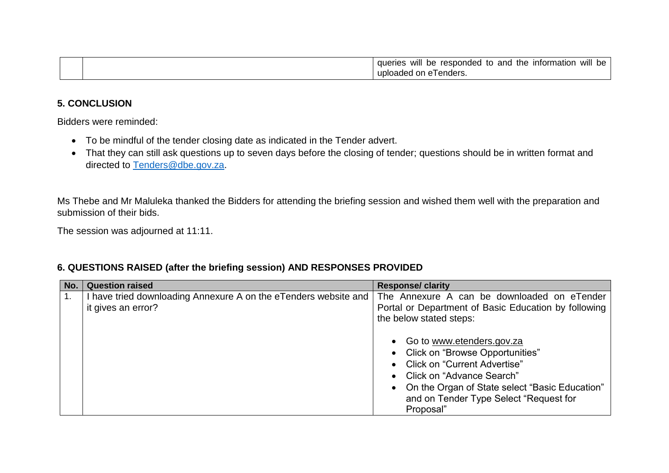|  | will<br>the<br>and<br>information<br>responded<br>Will<br>queries<br>be<br>to<br>be |
|--|-------------------------------------------------------------------------------------|
|  | n e I enders.<br>uploaded<br>$\sim$ 0.0 $\sim$<br>∶∪เ                               |

### **5. CONCLUSION**

Bidders were reminded:

- To be mindful of the tender closing date as indicated in the Tender advert.
- That they can still ask questions up to seven days before the closing of tender; questions should be in written format and directed to [Tenders@dbe.gov.za.](mailto:Tenders@dbe.gov.za)

Ms Thebe and Mr Maluleka thanked the Bidders for attending the briefing session and wished them well with the preparation and submission of their bids.

The session was adjourned at 11:11.

# **6. QUESTIONS RAISED (after the briefing session) AND RESPONSES PROVIDED**

| No. | <b>Question raised</b>                                                                | <b>Response/ clarity</b>                                                                                                                                                                                                                                                                 |
|-----|---------------------------------------------------------------------------------------|------------------------------------------------------------------------------------------------------------------------------------------------------------------------------------------------------------------------------------------------------------------------------------------|
| 1.  | I have tried downloading Annexure A on the eTenders website and<br>it gives an error? | The Annexure A can be downloaded on eTender<br>Portal or Department of Basic Education by following<br>the below stated steps:                                                                                                                                                           |
|     |                                                                                       | Go to www.etenders.gov.za<br>$\bullet$<br>• Click on "Browse Opportunities"<br>Click on "Current Advertise"<br>$\bullet$<br>Click on "Advance Search"<br>$\bullet$<br>On the Organ of State select "Basic Education"<br>$\bullet$<br>and on Tender Type Select "Request for<br>Proposal" |